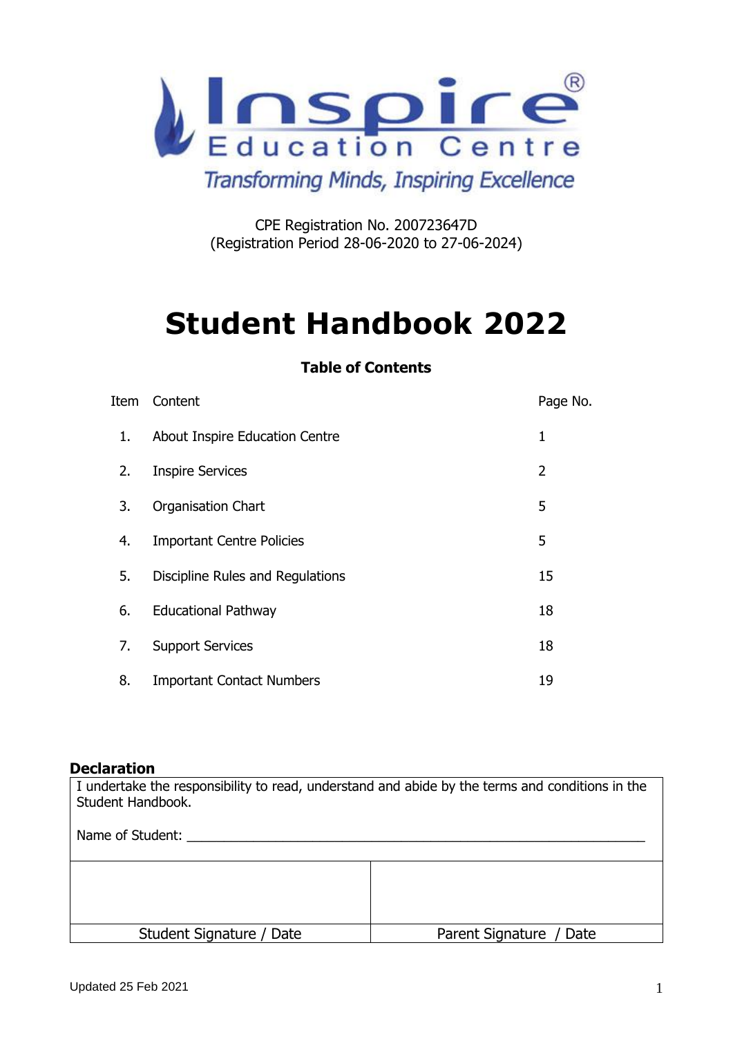

# **Transforming Minds, Inspiring Excellence**

CPE Registration No. 200723647D (Registration Period 28-06-2020 to 27-06-2024)

# **Student Handbook 2022**

# **Table of Contents**

| Item | Content                          | Page No. |
|------|----------------------------------|----------|
| 1.   | About Inspire Education Centre   | 1        |
| 2.   | <b>Inspire Services</b>          | 2        |
| 3.   | <b>Organisation Chart</b>        | 5        |
| 4.   | <b>Important Centre Policies</b> | 5        |
| 5.   | Discipline Rules and Regulations | 15       |
| 6.   | <b>Educational Pathway</b>       | 18       |
| 7.   | <b>Support Services</b>          | 18       |
| 8.   | <b>Important Contact Numbers</b> | 19       |

#### **Declaration**

I undertake the responsibility to read, understand and abide by the terms and conditions in the Student Handbook. Name of Student: Student Signature / Date Parent Signature / Date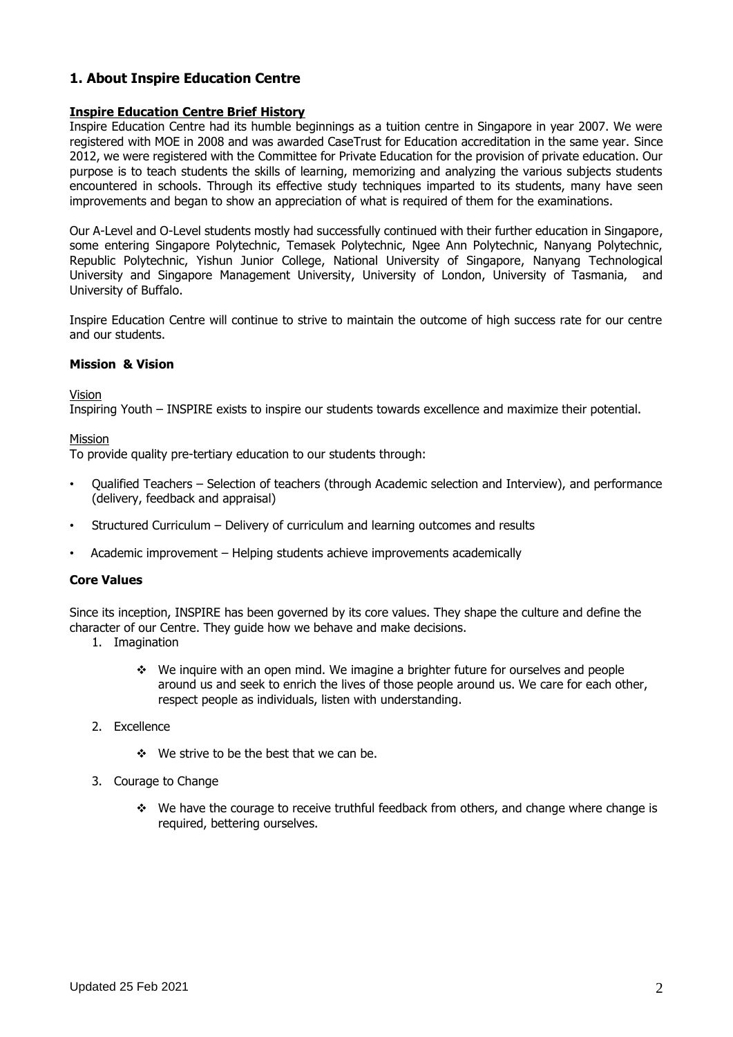# **1. About Inspire Education Centre**

#### **Inspire Education Centre Brief History**

Inspire Education Centre had its humble beginnings as a tuition centre in Singapore in year 2007. We were registered with MOE in 2008 and was awarded CaseTrust for Education accreditation in the same year. Since 2012, we were registered with the Committee for Private Education for the provision of private education. Our purpose is to teach students the skills of learning, memorizing and analyzing the various subjects students encountered in schools. Through its effective study techniques imparted to its students, many have seen improvements and began to show an appreciation of what is required of them for the examinations.

Our A-Level and O-Level students mostly had successfully continued with their further education in Singapore, some entering Singapore Polytechnic, Temasek Polytechnic, Ngee Ann Polytechnic, Nanyang Polytechnic, Republic Polytechnic, Yishun Junior College, National University of Singapore, Nanyang Technological University and Singapore Management University, University of London, University of Tasmania, and University of Buffalo.

Inspire Education Centre will continue to strive to maintain the outcome of high success rate for our centre and our students.

#### **Mission & Vision**

Vision

Inspiring Youth – INSPIRE exists to inspire our students towards excellence and maximize their potential.

#### Mission

To provide quality pre-tertiary education to our students through:

- Qualified Teachers Selection of teachers (through Academic selection and Interview), and performance (delivery, feedback and appraisal)
- Structured Curriculum Delivery of curriculum and learning outcomes and results
- Academic improvement Helping students achieve improvements academically

#### **Core Values**

Since its inception, INSPIRE has been governed by its core values. They shape the culture and define the character of our Centre. They guide how we behave and make decisions.

- 1. Imagination
	- ❖ We inquire with an open mind. We imagine a brighter future for ourselves and people around us and seek to enrich the lives of those people around us. We care for each other, respect people as individuals, listen with understanding.
- 2. Excellence
	- ❖ We strive to be the best that we can be.
- 3. Courage to Change
	- ❖ We have the courage to receive truthful feedback from others, and change where change is required, bettering ourselves.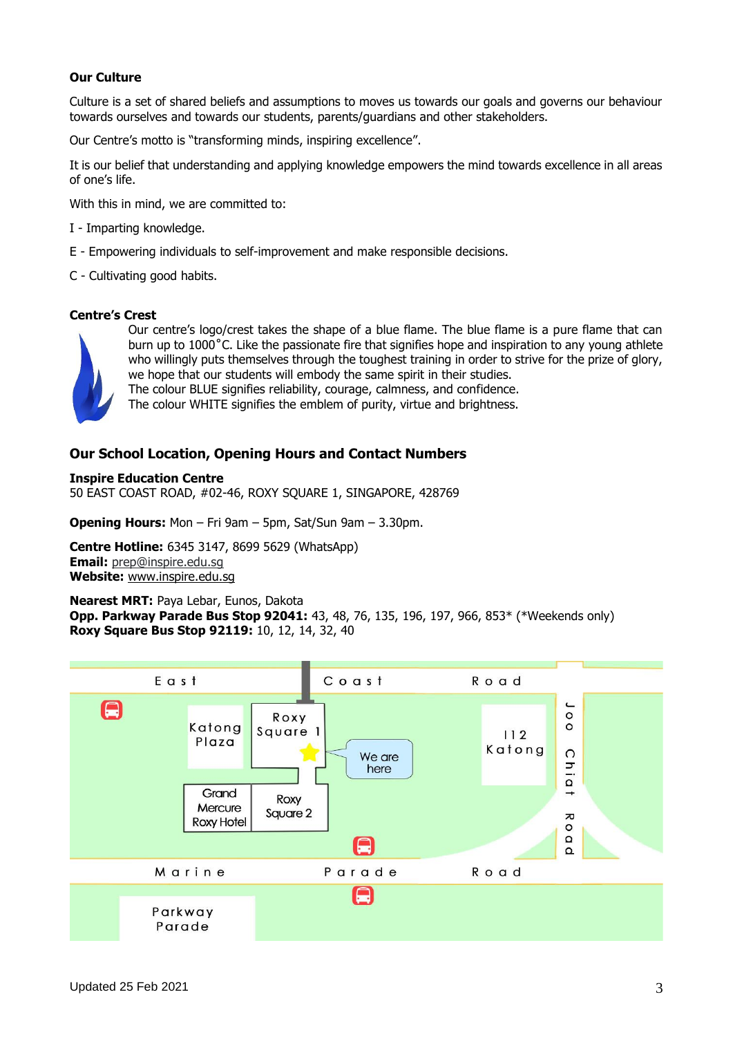#### **Our Culture**

Culture is a set of shared beliefs and assumptions to moves us towards our goals and governs our behaviour towards ourselves and towards our students, parents/guardians and other stakeholders.

Our Centre's motto is "transforming minds, inspiring excellence".

It is our belief that understanding and applying knowledge empowers the mind towards excellence in all areas of one's life.

With this in mind, we are committed to:

- I Imparting knowledge.
- E Empowering individuals to self-improvement and make responsible decisions.
- C Cultivating good habits.

#### **Centre's Crest**



Our centre's logo/crest takes the shape of a blue flame. The blue flame is a pure flame that can burn up to 1000˚C. Like the passionate fire that signifies hope and inspiration to any young athlete who willingly puts themselves through the toughest training in order to strive for the prize of glory, we hope that our students will embody the same spirit in their studies. The colour BLUE signifies reliability, courage, calmness, and confidence.

The colour WHITE signifies the emblem of purity, virtue and brightness.

## **Our School Location, Opening Hours and Contact Numbers**

**Inspire Education Centre** 50 EAST COAST ROAD, #02-46, ROXY SQUARE 1, SINGAPORE, 428769

**Opening Hours:** Mon – Fri 9am – 5pm, Sat/Sun 9am – 3.30pm.

**Centre Hotline:** 6345 3147, 8699 5629 (WhatsApp) **Email:** [prep@inspire.edu.sg](mailto:prep@inspire.edu.sg) **Website:** www.inspire.edu.sg

#### **Nearest MRT:** Paya Lebar, Eunos, Dakota

**Opp. Parkway Parade Bus Stop 92041:** 43, 48, 76, 135, 196, 197, 966, 853\* (\*Weekends only) **Roxy Square Bus Stop 92119:** 10, 12, 14, 32, 40

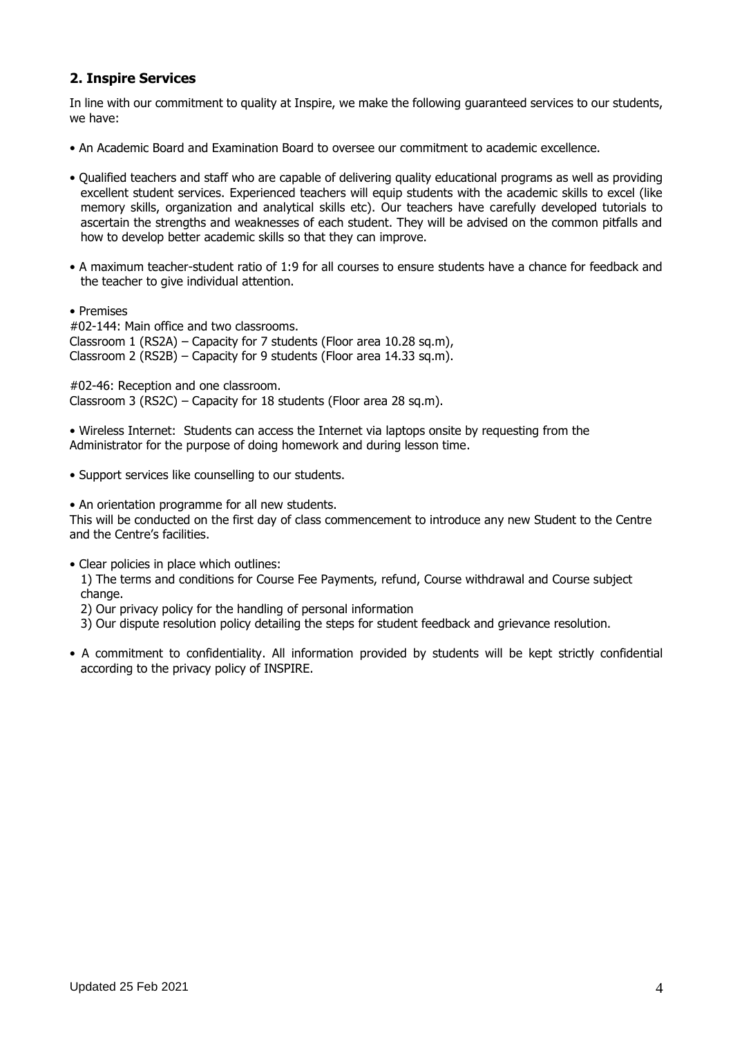# **2. Inspire Services**

In line with our commitment to quality at Inspire, we make the following guaranteed services to our students, we have:

- An Academic Board and Examination Board to oversee our commitment to academic excellence.
- Qualified teachers and staff who are capable of delivering quality educational programs as well as providing excellent student services. Experienced teachers will equip students with the academic skills to excel (like memory skills, organization and analytical skills etc). Our teachers have carefully developed tutorials to ascertain the strengths and weaknesses of each student. They will be advised on the common pitfalls and how to develop better academic skills so that they can improve.
- A maximum teacher-student ratio of 1:9 for all courses to ensure students have a chance for feedback and the teacher to give individual attention.
- Premises

#02-144: Main office and two classrooms. Classroom 1 (RS2A) – Capacity for 7 students (Floor area 10.28 sq.m), Classroom 2 (RS2B) – Capacity for 9 students (Floor area 14.33 sq.m).

#02-46: Reception and one classroom. Classroom 3 (RS2C) – Capacity for 18 students (Floor area 28 sq.m).

• Wireless Internet: Students can access the Internet via laptops onsite by requesting from the Administrator for the purpose of doing homework and during lesson time.

• Support services like counselling to our students.

• An orientation programme for all new students.

This will be conducted on the first day of class commencement to introduce any new Student to the Centre and the Centre's facilities.

• Clear policies in place which outlines:

1) The terms and conditions for Course Fee Payments, refund, Course withdrawal and Course subject change.

2) Our privacy policy for the handling of personal information

- 3) Our dispute resolution policy detailing the steps for student feedback and grievance resolution.
- A commitment to confidentiality. All information provided by students will be kept strictly confidential according to the privacy policy of INSPIRE.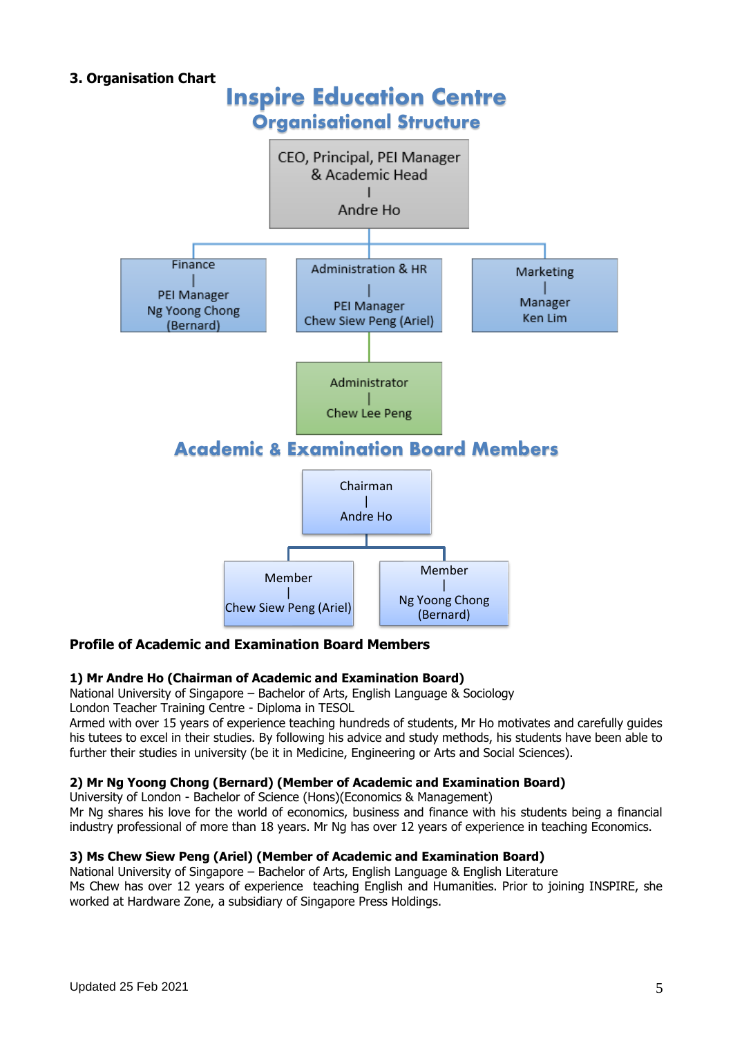# **3. Organisation Chart** Inspire Education Centre Organisational Structure **CEO, Principal, PEI Manager** & Academic Head Andre Ho Finance Administration & HR Marketing PEI Manager Manager PEI Manager Ng Yoong Chong Ken Lim Chew Siew Peng (Ariel) (Bernard) Administrator Chew Lee Peng Academic & Examination Board Members Chairman | Andre Ho Member Member | | Ng Yoong Chong Chew Siew Peng (Ariel)(Bernard)

#### **Profile of Academic and Examination Board Members**

#### **1) Mr Andre Ho (Chairman of Academic and Examination Board)**

National University of Singapore – Bachelor of Arts, English Language & Sociology

London Teacher Training Centre - Diploma in TESOL

Armed with over 15 years of experience teaching hundreds of students, Mr Ho motivates and carefully guides his tutees to excel in their studies. By following his advice and study methods, his students have been able to further their studies in university (be it in Medicine, Engineering or Arts and Social Sciences).

#### **2) Mr Ng Yoong Chong (Bernard) (Member of Academic and Examination Board)**

University of London - Bachelor of Science (Hons)(Economics & Management)

Mr Ng shares his love for the world of economics, business and finance with his students being a financial industry professional of more than 18 years. Mr Ng has over 12 years of experience in teaching Economics.

#### **3) Ms Chew Siew Peng (Ariel) (Member of Academic and Examination Board)**

National University of Singapore – Bachelor of Arts, English Language & English Literature Ms Chew has over 12 years of experience teaching English and Humanities. Prior to joining INSPIRE, she worked at Hardware Zone, a subsidiary of Singapore Press Holdings.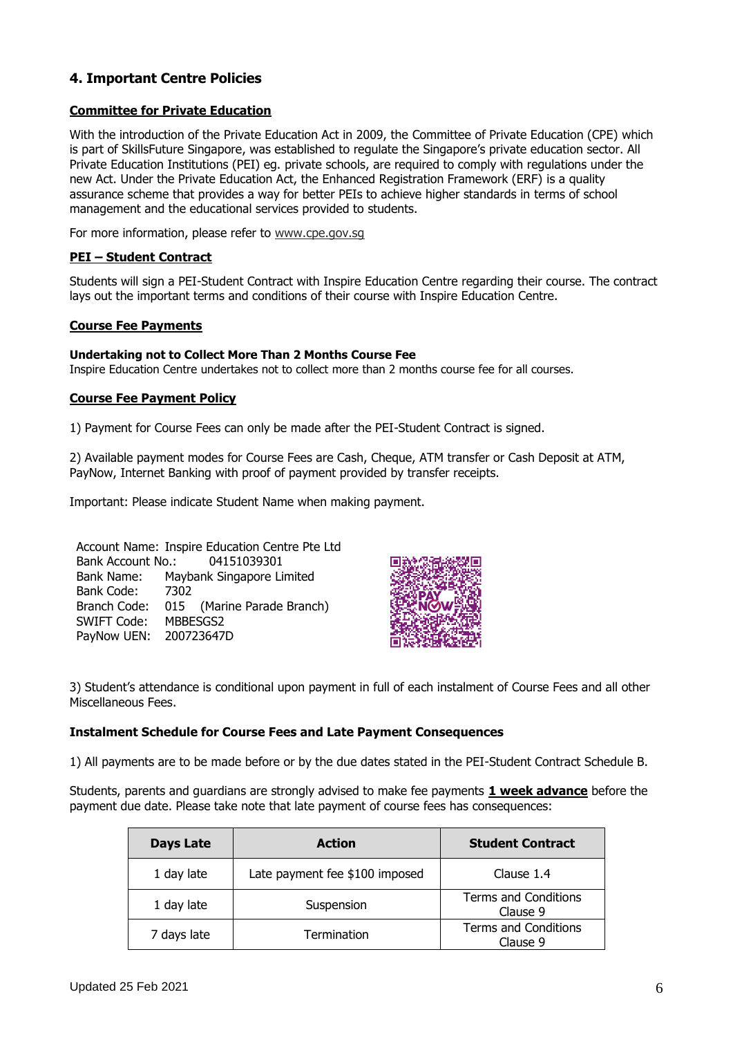# **4. Important Centre Policies**

#### **Committee for Private Education**

With the introduction of the Private Education Act in 2009, the Committee of Private Education (CPE) which is part of SkillsFuture Singapore, was established to regulate the Singapore's private education sector. All Private Education Institutions (PEI) eg. private schools, are required to comply with regulations under the new Act. Under the Private Education Act, the Enhanced Registration Framework (ERF) is a quality assurance scheme that provides a way for better PEIs to achieve higher standards in terms of school management and the educational services provided to students.

For more information, please refer to www.cpe.gov.sq

#### **PEI – Student Contract**

Students will sign a PEI-Student Contract with Inspire Education Centre regarding their course. The contract lays out the important terms and conditions of their course with Inspire Education Centre.

#### **Course Fee Payments**

#### **Undertaking not to Collect More Than 2 Months Course Fee**

Inspire Education Centre undertakes not to collect more than 2 months course fee for all courses.

#### **Course Fee Payment Policy**

1) Payment for Course Fees can only be made after the PEI-Student Contract is signed.

2) Available payment modes for Course Fees are Cash, Cheque, ATM transfer or Cash Deposit at ATM, PayNow, Internet Banking with proof of payment provided by transfer receipts.

Important: Please indicate Student Name when making payment.

Account Name: Inspire Education Centre Pte Ltd Bank Account No.: 04151039301 Bank Name: Maybank Singapore Limited Bank Code: 7302 Branch Code: 015 (Marine Parade Branch) SWIFT Code: MBBESGS2 PayNow UEN: 200723647D



3) Student's attendance is conditional upon payment in full of each instalment of Course Fees and all other Miscellaneous Fees.

#### **Instalment Schedule for Course Fees and Late Payment Consequences**

1) All payments are to be made before or by the due dates stated in the PEI-Student Contract Schedule B.

Students, parents and guardians are strongly advised to make fee payments **1 week advance** before the payment due date. Please take note that late payment of course fees has consequences:

| Days Late   | <b>Action</b>                  | <b>Student Contract</b>                 |
|-------------|--------------------------------|-----------------------------------------|
| 1 day late  | Late payment fee \$100 imposed | Clause 1.4                              |
| 1 day late  | Suspension                     | <b>Terms and Conditions</b><br>Clause 9 |
| 7 days late | Termination                    | <b>Terms and Conditions</b><br>Clause 9 |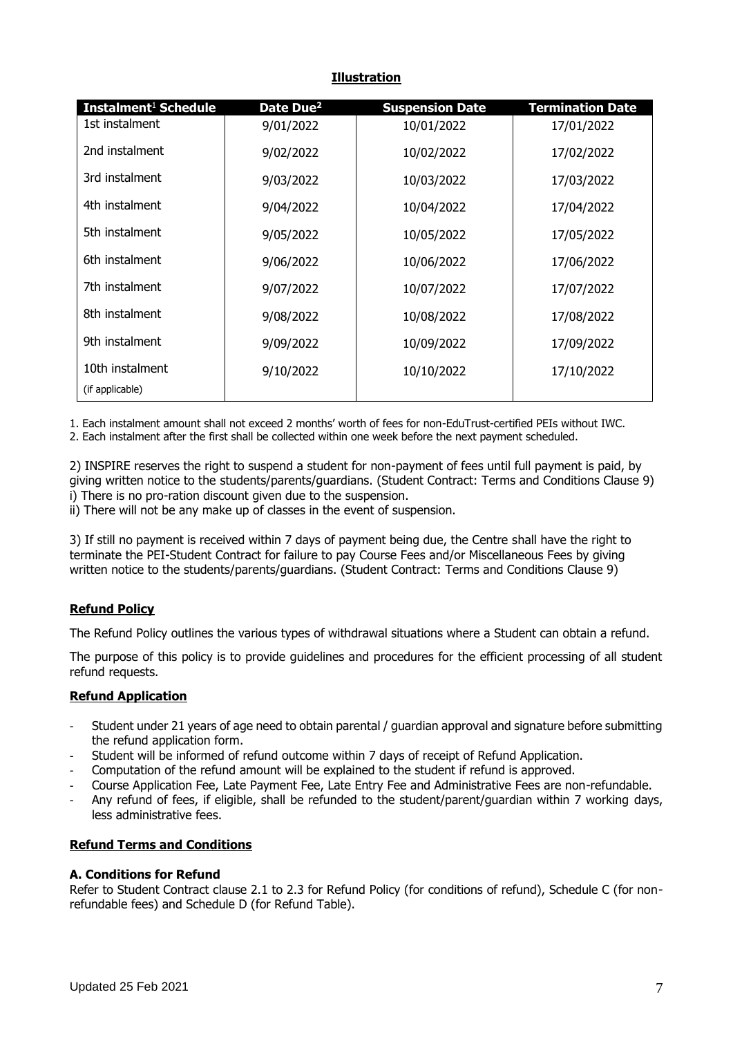#### **Illustration**

| Instalment <sup>1</sup> Schedule | Date Due <sup>2</sup> | <b>Suspension Date</b> | <b>Termination Date</b> |
|----------------------------------|-----------------------|------------------------|-------------------------|
| 1st instalment                   | 9/01/2022             | 10/01/2022             | 17/01/2022              |
| 2nd instalment                   | 9/02/2022             | 10/02/2022             | 17/02/2022              |
| 3rd instalment                   | 9/03/2022             | 10/03/2022             | 17/03/2022              |
| 4th instalment                   | 9/04/2022             | 10/04/2022             | 17/04/2022              |
| 5th instalment                   | 9/05/2022             | 10/05/2022             | 17/05/2022              |
| 6th instalment                   | 9/06/2022             | 10/06/2022             | 17/06/2022              |
| 7th instalment                   | 9/07/2022             | 10/07/2022             | 17/07/2022              |
| 8th instalment                   | 9/08/2022             | 10/08/2022             | 17/08/2022              |
| 9th instalment                   | 9/09/2022             | 10/09/2022             | 17/09/2022              |
| 10th instalment                  | 9/10/2022             | 10/10/2022             | 17/10/2022              |
| (if applicable)                  |                       |                        |                         |

1. Each instalment amount shall not exceed 2 months' worth of fees for non-EduTrust-certified PEIs without IWC.

2. Each instalment after the first shall be collected within one week before the next payment scheduled.

2) INSPIRE reserves the right to suspend a student for non-payment of fees until full payment is paid, by giving written notice to the students/parents/guardians. (Student Contract: Terms and Conditions Clause 9) i) There is no pro-ration discount given due to the suspension.

ii) There will not be any make up of classes in the event of suspension.

3) If still no payment is received within 7 days of payment being due, the Centre shall have the right to terminate the PEI-Student Contract for failure to pay Course Fees and/or Miscellaneous Fees by giving written notice to the students/parents/guardians. (Student Contract: Terms and Conditions Clause 9)

# **Refund Policy**

The Refund Policy outlines the various types of withdrawal situations where a Student can obtain a refund.

The purpose of this policy is to provide guidelines and procedures for the efficient processing of all student refund requests.

#### **Refund Application**

- Student under 21 years of age need to obtain parental / guardian approval and signature before submitting the refund application form.
- Student will be informed of refund outcome within 7 days of receipt of Refund Application.
- Computation of the refund amount will be explained to the student if refund is approved.
- Course Application Fee, Late Payment Fee, Late Entry Fee and Administrative Fees are non-refundable.
- Any refund of fees, if eligible, shall be refunded to the student/parent/guardian within 7 working days, less administrative fees.

#### **Refund Terms and Conditions**

#### **A. Conditions for Refund**

Refer to Student Contract clause 2.1 to 2.3 for Refund Policy (for conditions of refund), Schedule C (for nonrefundable fees) and Schedule D (for Refund Table).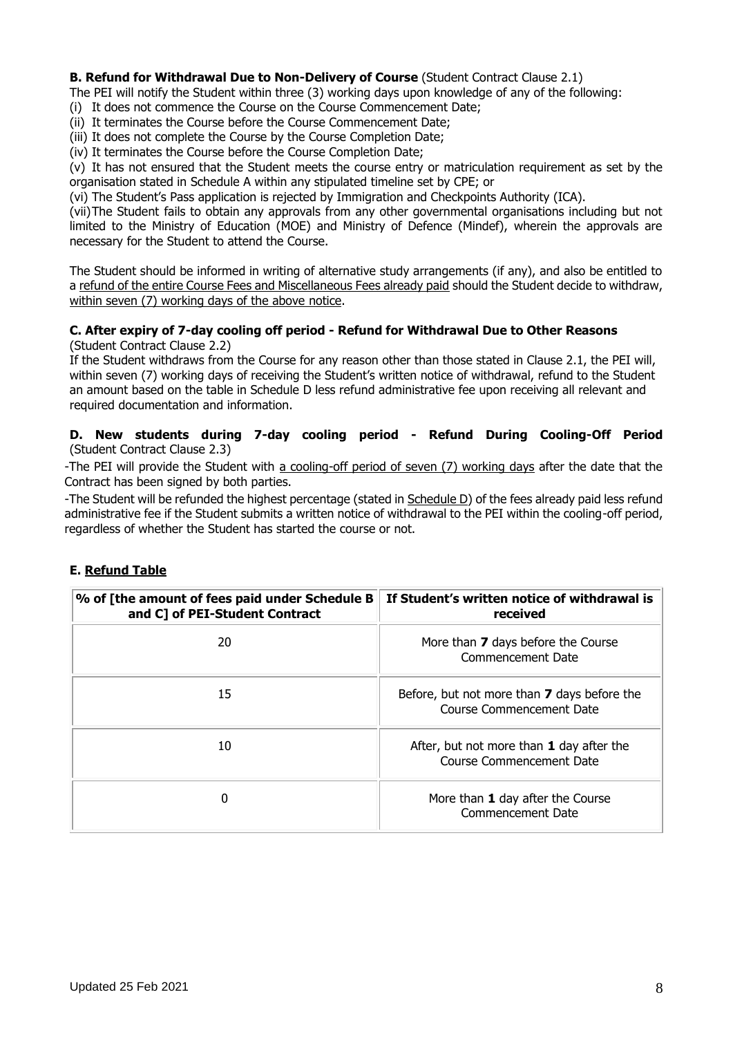#### **B. Refund for Withdrawal Due to Non-Delivery of Course (Student Contract Clause 2.1)**

The PEI will notify the Student within three (3) working days upon knowledge of any of the following:

- (i) It does not commence the Course on the Course Commencement Date;
- (ii) It terminates the Course before the Course Commencement Date;
- (iii) It does not complete the Course by the Course Completion Date;
- (iv) It terminates the Course before the Course Completion Date;

(v) It has not ensured that the Student meets the course entry or matriculation requirement as set by the organisation stated in Schedule A within any stipulated timeline set by CPE; or

(vi) The Student's Pass application is rejected by Immigration and Checkpoints Authority (ICA).

(vii)The Student fails to obtain any approvals from any other governmental organisations including but not limited to the Ministry of Education (MOE) and Ministry of Defence (Mindef), wherein the approvals are necessary for the Student to attend the Course.

The Student should be informed in writing of alternative study arrangements (if any), and also be entitled to a refund of the entire Course Fees and Miscellaneous Fees already paid should the Student decide to withdraw, within seven (7) working days of the above notice.

#### **C. After expiry of 7-day cooling off period - Refund for Withdrawal Due to Other Reasons** (Student Contract Clause 2.2)

If the Student withdraws from the Course for any reason other than those stated in Clause 2.1, the PEI will, within seven (7) working days of receiving the Student's written notice of withdrawal, refund to the Student an amount based on the table in Schedule D less refund administrative fee upon receiving all relevant and required documentation and information.

#### **D. New students during 7-day cooling period - Refund During Cooling-Off Period** (Student Contract Clause 2.3)

-The PEI will provide the Student with a cooling-off period of seven (7) working days after the date that the Contract has been signed by both parties.

-The Student will be refunded the highest percentage (stated in Schedule D) of the fees already paid less refund administrative fee if the Student submits a written notice of withdrawal to the PEI within the cooling-off period, regardless of whether the Student has started the course or not.

#### **E. Refund Table**

| % of [the amount of fees paid under Schedule B<br>and C] of PEI-Student Contract | If Student's written notice of withdrawal is<br>received                |
|----------------------------------------------------------------------------------|-------------------------------------------------------------------------|
| 20                                                                               | More than 7 days before the Course<br>Commencement Date                 |
| 15                                                                               | Before, but not more than 7 days before the<br>Course Commencement Date |
| 10                                                                               | After, but not more than 1 day after the<br>Course Commencement Date    |
| O                                                                                | More than 1 day after the Course<br>Commencement Date                   |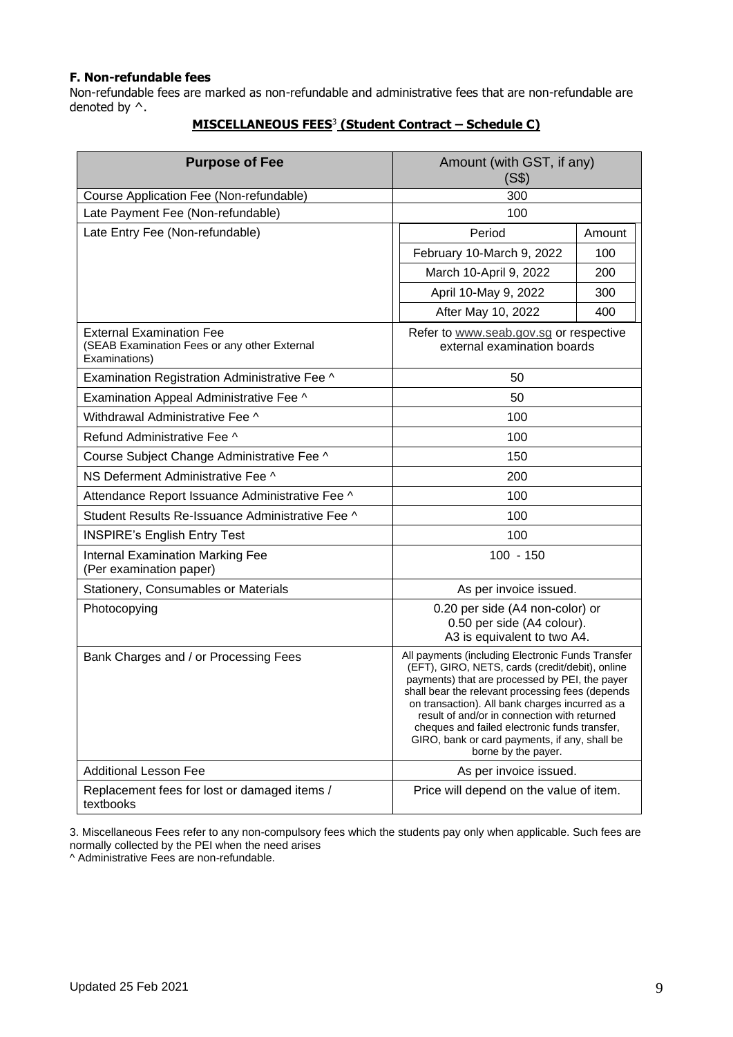#### **F. Non-refundable fees**

Non-refundable fees are marked as non-refundable and administrative fees that are non-refundable are denoted by ^.

| <b>Purpose of Fee</b>                                                                            | Amount (with GST, if any)<br>(S\$)                                                                                                                                                                                                                                                                                                                                                                                                     |        |
|--------------------------------------------------------------------------------------------------|----------------------------------------------------------------------------------------------------------------------------------------------------------------------------------------------------------------------------------------------------------------------------------------------------------------------------------------------------------------------------------------------------------------------------------------|--------|
| Course Application Fee (Non-refundable)                                                          | 300                                                                                                                                                                                                                                                                                                                                                                                                                                    |        |
| Late Payment Fee (Non-refundable)                                                                | 100                                                                                                                                                                                                                                                                                                                                                                                                                                    |        |
| Late Entry Fee (Non-refundable)                                                                  | Period                                                                                                                                                                                                                                                                                                                                                                                                                                 | Amount |
|                                                                                                  | February 10-March 9, 2022                                                                                                                                                                                                                                                                                                                                                                                                              | 100    |
|                                                                                                  | March 10-April 9, 2022                                                                                                                                                                                                                                                                                                                                                                                                                 | 200    |
|                                                                                                  | April 10-May 9, 2022                                                                                                                                                                                                                                                                                                                                                                                                                   | 300    |
|                                                                                                  | After May 10, 2022                                                                                                                                                                                                                                                                                                                                                                                                                     | 400    |
| <b>External Examination Fee</b><br>(SEAB Examination Fees or any other External<br>Examinations) | Refer to www.seab.gov.sg or respective<br>external examination boards                                                                                                                                                                                                                                                                                                                                                                  |        |
| Examination Registration Administrative Fee ^                                                    | 50                                                                                                                                                                                                                                                                                                                                                                                                                                     |        |
| Examination Appeal Administrative Fee ^                                                          | 50                                                                                                                                                                                                                                                                                                                                                                                                                                     |        |
| Withdrawal Administrative Fee ^                                                                  | 100                                                                                                                                                                                                                                                                                                                                                                                                                                    |        |
| Refund Administrative Fee ^                                                                      | 100                                                                                                                                                                                                                                                                                                                                                                                                                                    |        |
| Course Subject Change Administrative Fee ^                                                       | 150                                                                                                                                                                                                                                                                                                                                                                                                                                    |        |
| NS Deferment Administrative Fee ^                                                                | 200                                                                                                                                                                                                                                                                                                                                                                                                                                    |        |
| Attendance Report Issuance Administrative Fee ^                                                  | 100                                                                                                                                                                                                                                                                                                                                                                                                                                    |        |
| Student Results Re-Issuance Administrative Fee ^                                                 | 100                                                                                                                                                                                                                                                                                                                                                                                                                                    |        |
| 100<br><b>INSPIRE's English Entry Test</b>                                                       |                                                                                                                                                                                                                                                                                                                                                                                                                                        |        |
| <b>Internal Examination Marking Fee</b><br>(Per examination paper)                               | $100 - 150$                                                                                                                                                                                                                                                                                                                                                                                                                            |        |
| Stationery, Consumables or Materials                                                             | As per invoice issued.                                                                                                                                                                                                                                                                                                                                                                                                                 |        |
| Photocopying                                                                                     | 0.20 per side (A4 non-color) or<br>0.50 per side (A4 colour).<br>A3 is equivalent to two A4.                                                                                                                                                                                                                                                                                                                                           |        |
| Bank Charges and / or Processing Fees                                                            | All payments (including Electronic Funds Transfer<br>(EFT), GIRO, NETS, cards (credit/debit), online<br>payments) that are processed by PEI, the payer<br>shall bear the relevant processing fees (depends<br>on transaction). All bank charges incurred as a<br>result of and/or in connection with returned<br>cheques and failed electronic funds transfer,<br>GIRO, bank or card payments, if any, shall be<br>borne by the payer. |        |
| <b>Additional Lesson Fee</b>                                                                     | As per invoice issued.                                                                                                                                                                                                                                                                                                                                                                                                                 |        |
| Replacement fees for lost or damaged items /<br>textbooks                                        | Price will depend on the value of item.                                                                                                                                                                                                                                                                                                                                                                                                |        |

# **MISCELLANEOUS FEES**<sup>3</sup> **(Student Contract – Schedule C)**

3. Miscellaneous Fees refer to any non-compulsory fees which the students pay only when applicable. Such fees are normally collected by the PEI when the need arises

^ Administrative Fees are non-refundable.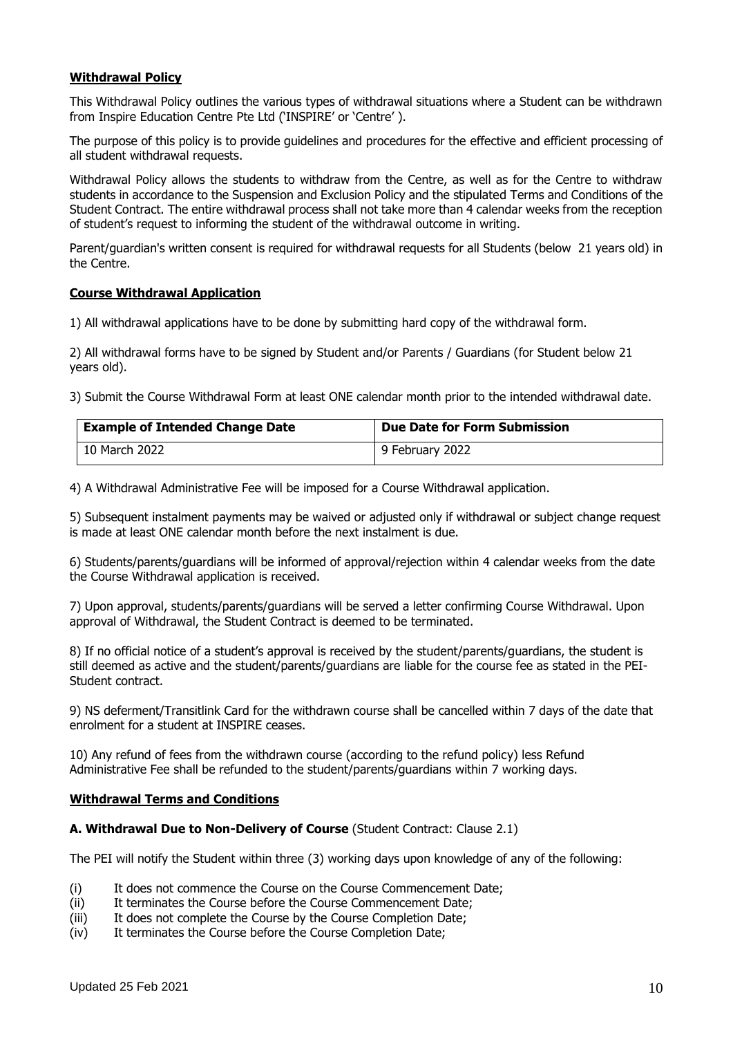#### **Withdrawal Policy**

This Withdrawal Policy outlines the various types of withdrawal situations where a Student can be withdrawn from Inspire Education Centre Pte Ltd ('INSPIRE' or 'Centre' ).

The purpose of this policy is to provide guidelines and procedures for the effective and efficient processing of all student withdrawal requests.

Withdrawal Policy allows the students to withdraw from the Centre, as well as for the Centre to withdraw students in accordance to the Suspension and Exclusion Policy and the stipulated Terms and Conditions of the Student Contract. The entire withdrawal process shall not take more than 4 calendar weeks from the reception of student's request to informing the student of the withdrawal outcome in writing.

Parent/guardian's written consent is required for withdrawal requests for all Students (below 21 years old) in the Centre.

#### **Course Withdrawal Application**

1) All withdrawal applications have to be done by submitting hard copy of the withdrawal form.

2) All withdrawal forms have to be signed by Student and/or Parents / Guardians (for Student below 21 years old).

3) Submit the Course Withdrawal Form at least ONE calendar month prior to the intended withdrawal date.

| <b>Example of Intended Change Date</b> | Due Date for Form Submission |
|----------------------------------------|------------------------------|
| 10 March 2022                          | 9 February 2022              |

4) A Withdrawal Administrative Fee will be imposed for a Course Withdrawal application.

5) Subsequent instalment payments may be waived or adjusted only if withdrawal or subject change request is made at least ONE calendar month before the next instalment is due.

6) Students/parents/guardians will be informed of approval/rejection within 4 calendar weeks from the date the Course Withdrawal application is received.

7) Upon approval, students/parents/guardians will be served a letter confirming Course Withdrawal. Upon approval of Withdrawal, the Student Contract is deemed to be terminated.

8) If no official notice of a student's approval is received by the student/parents/guardians, the student is still deemed as active and the student/parents/guardians are liable for the course fee as stated in the PEI-Student contract.

9) NS deferment/Transitlink Card for the withdrawn course shall be cancelled within 7 days of the date that enrolment for a student at INSPIRE ceases.

10) Any refund of fees from the withdrawn course (according to the refund policy) less Refund Administrative Fee shall be refunded to the student/parents/guardians within 7 working days.

#### **Withdrawal Terms and Conditions**

#### **A. Withdrawal Due to Non-Delivery of Course** (Student Contract: Clause 2.1)

The PEI will notify the Student within three (3) working days upon knowledge of any of the following:

- (i) It does not commence the Course on the Course Commencement Date;
- (ii) It terminates the Course before the Course Commencement Date;
- (iii) It does not complete the Course by the Course Completion Date;
- (iv) It terminates the Course before the Course Completion Date;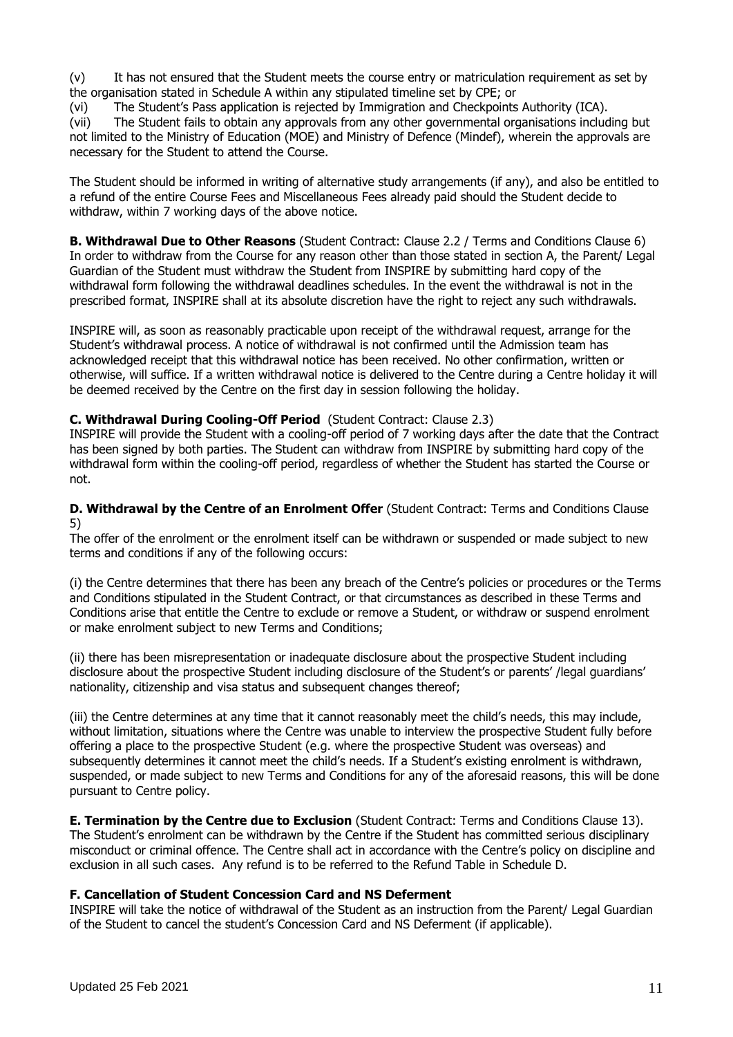(v) It has not ensured that the Student meets the course entry or matriculation requirement as set by the organisation stated in Schedule A within any stipulated timeline set by CPE; or

(vi) The Student's Pass application is rejected by Immigration and Checkpoints Authority (ICA).

(vii) The Student fails to obtain any approvals from any other governmental organisations including but not limited to the Ministry of Education (MOE) and Ministry of Defence (Mindef), wherein the approvals are necessary for the Student to attend the Course.

The Student should be informed in writing of alternative study arrangements (if any), and also be entitled to a refund of the entire Course Fees and Miscellaneous Fees already paid should the Student decide to withdraw, within 7 working days of the above notice.

**B. Withdrawal Due to Other Reasons** (Student Contract: Clause 2.2 / Terms and Conditions Clause 6) In order to withdraw from the Course for any reason other than those stated in section A, the Parent/ Legal Guardian of the Student must withdraw the Student from INSPIRE by submitting hard copy of the withdrawal form following the withdrawal deadlines schedules. In the event the withdrawal is not in the prescribed format, INSPIRE shall at its absolute discretion have the right to reject any such withdrawals.

INSPIRE will, as soon as reasonably practicable upon receipt of the withdrawal request, arrange for the Student's withdrawal process. A notice of withdrawal is not confirmed until the Admission team has acknowledged receipt that this withdrawal notice has been received. No other confirmation, written or otherwise, will suffice. If a written withdrawal notice is delivered to the Centre during a Centre holiday it will be deemed received by the Centre on the first day in session following the holiday.

#### **C. Withdrawal During Cooling-Off Period** (Student Contract: Clause 2.3)

INSPIRE will provide the Student with a cooling-off period of 7 working days after the date that the Contract has been signed by both parties. The Student can withdraw from INSPIRE by submitting hard copy of the withdrawal form within the cooling-off period, regardless of whether the Student has started the Course or not.

**D. Withdrawal by the Centre of an Enrolment Offer** (Student Contract: Terms and Conditions Clause 5)

The offer of the enrolment or the enrolment itself can be withdrawn or suspended or made subject to new terms and conditions if any of the following occurs:

(i) the Centre determines that there has been any breach of the Centre's policies or procedures or the Terms and Conditions stipulated in the Student Contract, or that circumstances as described in these Terms and Conditions arise that entitle the Centre to exclude or remove a Student, or withdraw or suspend enrolment or make enrolment subject to new Terms and Conditions;

(ii) there has been misrepresentation or inadequate disclosure about the prospective Student including disclosure about the prospective Student including disclosure of the Student's or parents' /legal guardians' nationality, citizenship and visa status and subsequent changes thereof;

(iii) the Centre determines at any time that it cannot reasonably meet the child's needs, this may include, without limitation, situations where the Centre was unable to interview the prospective Student fully before offering a place to the prospective Student (e.g. where the prospective Student was overseas) and subsequently determines it cannot meet the child's needs. If a Student's existing enrolment is withdrawn, suspended, or made subject to new Terms and Conditions for any of the aforesaid reasons, this will be done pursuant to Centre policy.

**E. Termination by the Centre due to Exclusion** (Student Contract: Terms and Conditions Clause 13). The Student's enrolment can be withdrawn by the Centre if the Student has committed serious disciplinary misconduct or criminal offence. The Centre shall act in accordance with the Centre's policy on discipline and exclusion in all such cases. Any refund is to be referred to the Refund Table in Schedule D.

#### **F. Cancellation of Student Concession Card and NS Deferment**

INSPIRE will take the notice of withdrawal of the Student as an instruction from the Parent/ Legal Guardian of the Student to cancel the student's Concession Card and NS Deferment (if applicable).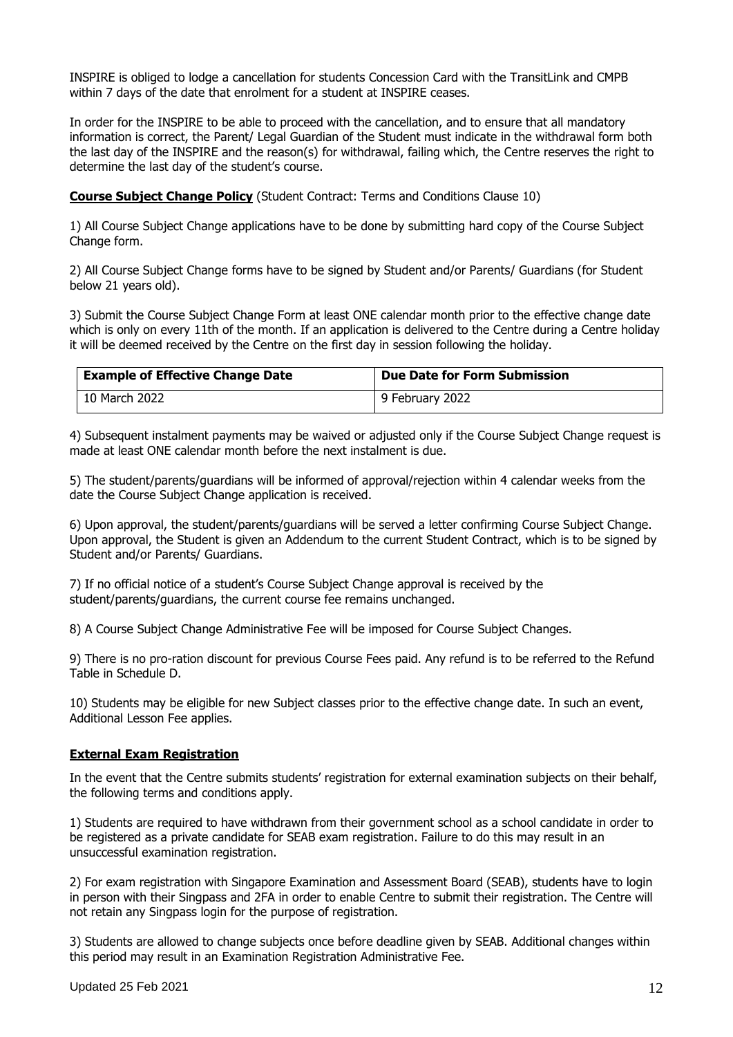INSPIRE is obliged to lodge a cancellation for students Concession Card with the TransitLink and CMPB within 7 days of the date that enrolment for a student at INSPIRE ceases.

In order for the INSPIRE to be able to proceed with the cancellation, and to ensure that all mandatory information is correct, the Parent/ Legal Guardian of the Student must indicate in the withdrawal form both the last day of the INSPIRE and the reason(s) for withdrawal, failing which, the Centre reserves the right to determine the last day of the student's course.

**Course Subject Change Policy** (Student Contract: Terms and Conditions Clause 10)

1) All Course Subject Change applications have to be done by submitting hard copy of the Course Subject Change form.

2) All Course Subject Change forms have to be signed by Student and/or Parents/ Guardians (for Student below 21 years old).

3) Submit the Course Subject Change Form at least ONE calendar month prior to the effective change date which is only on every 11th of the month. If an application is delivered to the Centre during a Centre holiday it will be deemed received by the Centre on the first day in session following the holiday.

| <b>Example of Effective Change Date</b> | <b>Due Date for Form Submission</b> |
|-----------------------------------------|-------------------------------------|
| 10 March 2022                           | 9 February 2022                     |

4) Subsequent instalment payments may be waived or adjusted only if the Course Subject Change request is made at least ONE calendar month before the next instalment is due.

5) The student/parents/guardians will be informed of approval/rejection within 4 calendar weeks from the date the Course Subject Change application is received.

6) Upon approval, the student/parents/guardians will be served a letter confirming Course Subject Change. Upon approval, the Student is given an Addendum to the current Student Contract, which is to be signed by Student and/or Parents/ Guardians.

7) If no official notice of a student's Course Subject Change approval is received by the student/parents/guardians, the current course fee remains unchanged.

8) A Course Subject Change Administrative Fee will be imposed for Course Subject Changes.

9) There is no pro-ration discount for previous Course Fees paid. Any refund is to be referred to the Refund Table in Schedule D.

10) Students may be eligible for new Subject classes prior to the effective change date. In such an event, Additional Lesson Fee applies.

#### **External Exam Registration**

In the event that the Centre submits students' registration for external examination subjects on their behalf, the following terms and conditions apply.

1) Students are required to have withdrawn from their government school as a school candidate in order to be registered as a private candidate for SEAB exam registration. Failure to do this may result in an unsuccessful examination registration.

2) For exam registration with Singapore Examination and Assessment Board (SEAB), students have to login in person with their Singpass and 2FA in order to enable Centre to submit their registration. The Centre will not retain any Singpass login for the purpose of registration.

3) Students are allowed to change subjects once before deadline given by SEAB. Additional changes within this period may result in an Examination Registration Administrative Fee.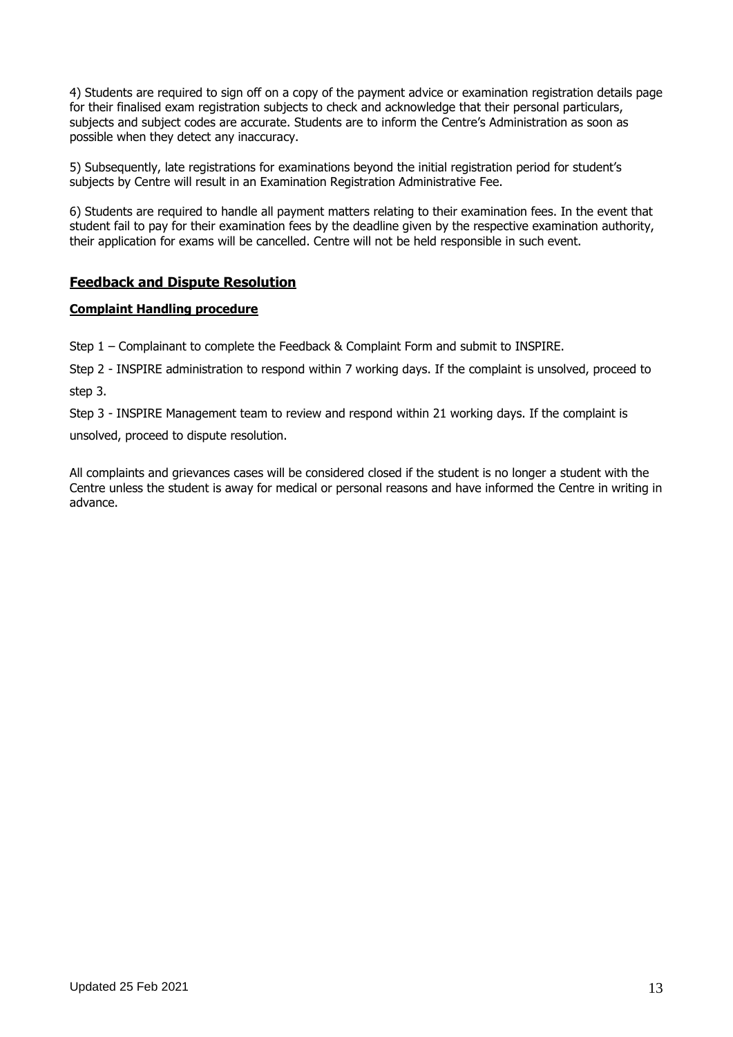4) Students are required to sign off on a copy of the payment advice or examination registration details page for their finalised exam registration subjects to check and acknowledge that their personal particulars, subjects and subject codes are accurate. Students are to inform the Centre's Administration as soon as possible when they detect any inaccuracy.

5) Subsequently, late registrations for examinations beyond the initial registration period for student's subjects by Centre will result in an Examination Registration Administrative Fee.

6) Students are required to handle all payment matters relating to their examination fees. In the event that student fail to pay for their examination fees by the deadline given by the respective examination authority, their application for exams will be cancelled. Centre will not be held responsible in such event.

# **Feedback and Dispute Resolution**

#### **Complaint Handling procedure**

Step 1 – Complainant to complete the Feedback & Complaint Form and submit to INSPIRE.

Step 2 - INSPIRE administration to respond within 7 working days. If the complaint is unsolved, proceed to step 3.

Step 3 - INSPIRE Management team to review and respond within 21 working days. If the complaint is unsolved, proceed to dispute resolution.

All complaints and grievances cases will be considered closed if the student is no longer a student with the Centre unless the student is away for medical or personal reasons and have informed the Centre in writing in advance.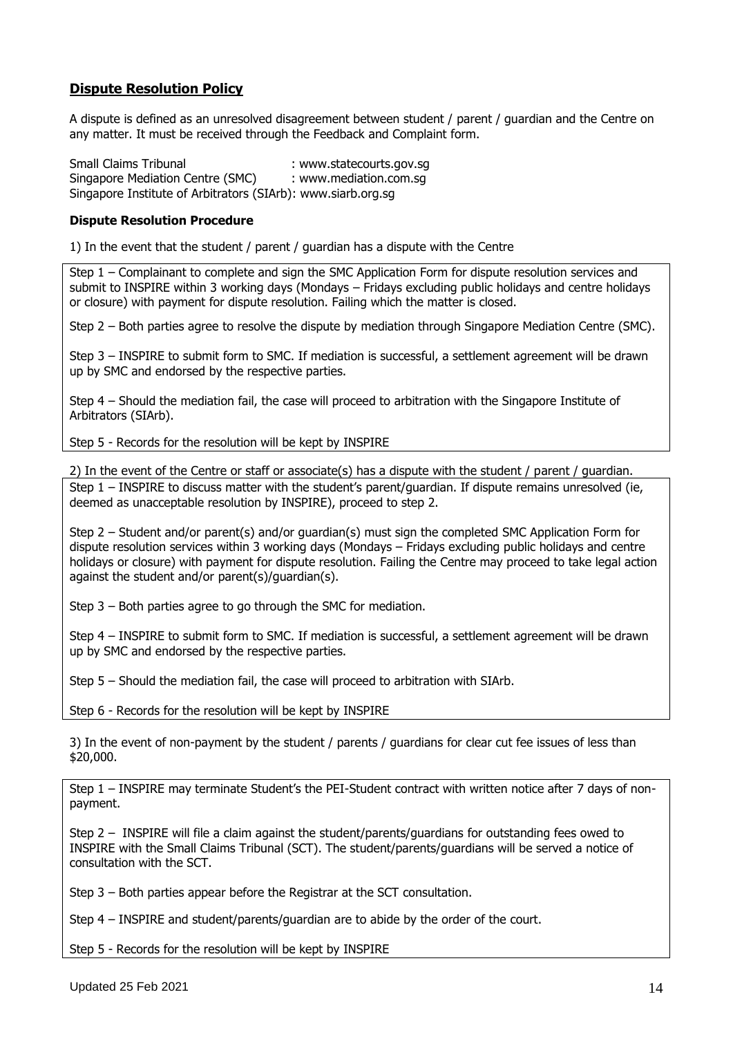# **Dispute Resolution Policy**

A dispute is defined as an unresolved disagreement between student / parent / guardian and the Centre on any matter. It must be received through the Feedback and Complaint form.

Small Claims Tribunal : www.statecourts.gov.sq Singapore Mediation Centre (SMC) : www.mediation.com.sq Singapore Institute of Arbitrators (SIArb): www.siarb.org.sg

#### **Dispute Resolution Procedure**

1) In the event that the student / parent / guardian has a dispute with the Centre

Step 1 – Complainant to complete and sign the SMC Application Form for dispute resolution services and submit to INSPIRE within 3 working days (Mondays – Fridays excluding public holidays and centre holidays or closure) with payment for dispute resolution. Failing which the matter is closed.

Step 2 – Both parties agree to resolve the dispute by mediation through Singapore Mediation Centre (SMC).

Step 3 – INSPIRE to submit form to SMC. If mediation is successful, a settlement agreement will be drawn up by SMC and endorsed by the respective parties.

Step 4 – Should the mediation fail, the case will proceed to arbitration with the Singapore Institute of Arbitrators (SIArb).

Step 5 - Records for the resolution will be kept by INSPIRE

2) In the event of the Centre or staff or associate(s) has a dispute with the student / parent / guardian.

Step 1 – INSPIRE to discuss matter with the student's parent/guardian. If dispute remains unresolved (ie, deemed as unacceptable resolution by INSPIRE), proceed to step 2.

Step 2 – Student and/or parent(s) and/or guardian(s) must sign the completed SMC Application Form for dispute resolution services within 3 working days (Mondays – Fridays excluding public holidays and centre holidays or closure) with payment for dispute resolution. Failing the Centre may proceed to take legal action against the student and/or parent(s)/guardian(s).

Step 3 – Both parties agree to go through the SMC for mediation.

Step 4 – INSPIRE to submit form to SMC. If mediation is successful, a settlement agreement will be drawn up by SMC and endorsed by the respective parties.

Step 5 – Should the mediation fail, the case will proceed to arbitration with SIArb.

Step 6 - Records for the resolution will be kept by INSPIRE

3) In the event of non-payment by the student / parents / guardians for clear cut fee issues of less than \$20,000.

Step 1 – INSPIRE may terminate Student's the PEI-Student contract with written notice after 7 days of nonpayment.

Step 2 – INSPIRE will file a claim against the student/parents/guardians for outstanding fees owed to INSPIRE with the Small Claims Tribunal (SCT). The student/parents/guardians will be served a notice of consultation with the SCT.

Step 3 – Both parties appear before the Registrar at the SCT consultation.

Step 4 – INSPIRE and student/parents/guardian are to abide by the order of the court.

Step 5 - Records for the resolution will be kept by INSPIRE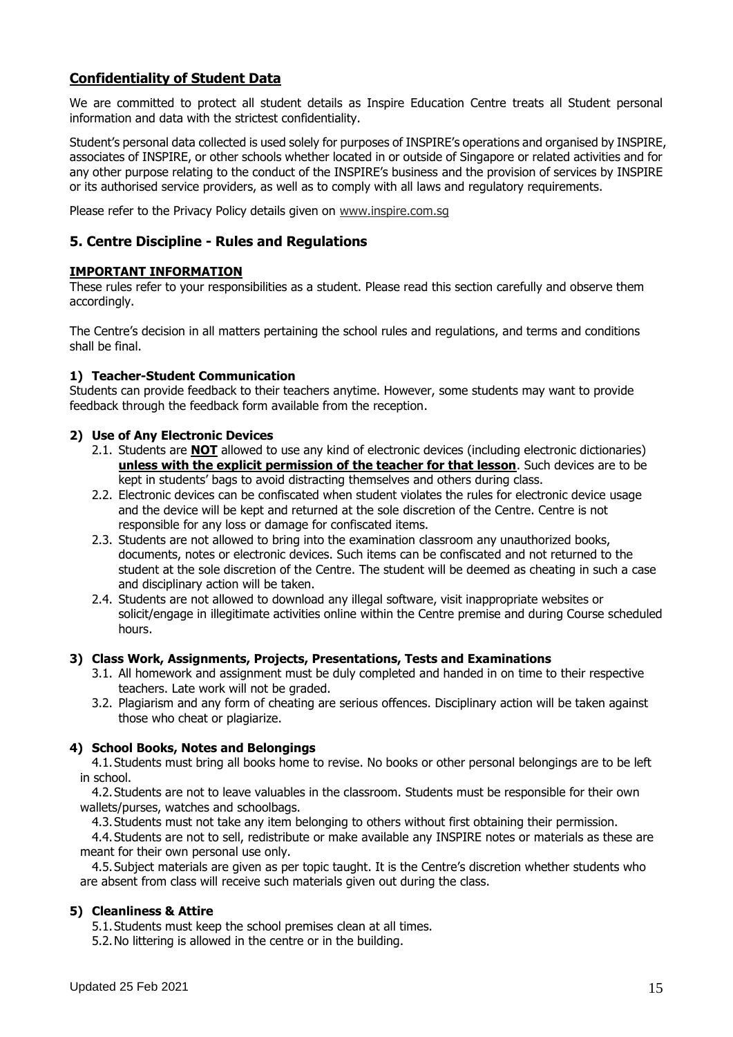# **Confidentiality of Student Data**

We are committed to protect all student details as Inspire Education Centre treats all Student personal information and data with the strictest confidentiality.

Student's personal data collected is used solely for purposes of INSPIRE's operations and organised by INSPIRE, associates of INSPIRE, or other schools whether located in or outside of Singapore or related activities and for any other purpose relating to the conduct of the INSPIRE's business and the provision of services by INSPIRE or its authorised service providers, as well as to comply with all laws and regulatory requirements.

Please refer to the Privacy Policy details given on [www.inspire.com.sg](http://www.inspire.com.sg/)

# **5. Centre Discipline - Rules and Regulations**

#### **IMPORTANT INFORMATION**

These rules refer to your responsibilities as a student. Please read this section carefully and observe them accordingly.

The Centre's decision in all matters pertaining the school rules and regulations, and terms and conditions shall be final.

#### **1) Teacher-Student Communication**

Students can provide feedback to their teachers anytime. However, some students may want to provide feedback through the feedback form available from the reception.

#### **2) Use of Any Electronic Devices**

- 2.1. Students are **NOT** allowed to use any kind of electronic devices (including electronic dictionaries) **unless with the explicit permission of the teacher for that lesson**. Such devices are to be kept in students' bags to avoid distracting themselves and others during class.
- 2.2. Electronic devices can be confiscated when student violates the rules for electronic device usage and the device will be kept and returned at the sole discretion of the Centre. Centre is not responsible for any loss or damage for confiscated items.
- 2.3. Students are not allowed to bring into the examination classroom any unauthorized books, documents, notes or electronic devices. Such items can be confiscated and not returned to the student at the sole discretion of the Centre. The student will be deemed as cheating in such a case and disciplinary action will be taken.
- 2.4. Students are not allowed to download any illegal software, visit inappropriate websites or solicit/engage in illegitimate activities online within the Centre premise and during Course scheduled hours.

#### **3) Class Work, Assignments, Projects, Presentations, Tests and Examinations**

- 3.1. All homework and assignment must be duly completed and handed in on time to their respective teachers. Late work will not be graded.
- 3.2. Plagiarism and any form of cheating are serious offences. Disciplinary action will be taken against those who cheat or plagiarize.

#### **4) School Books, Notes and Belongings**

4.1.Students must bring all books home to revise. No books or other personal belongings are to be left in school.

4.2.Students are not to leave valuables in the classroom. Students must be responsible for their own wallets/purses, watches and schoolbags.

4.3.Students must not take any item belonging to others without first obtaining their permission.

4.4.Students are not to sell, redistribute or make available any INSPIRE notes or materials as these are meant for their own personal use only.

4.5.Subject materials are given as per topic taught. It is the Centre's discretion whether students who are absent from class will receive such materials given out during the class.

#### **5) Cleanliness & Attire**

5.1.Students must keep the school premises clean at all times.

5.2.No littering is allowed in the centre or in the building.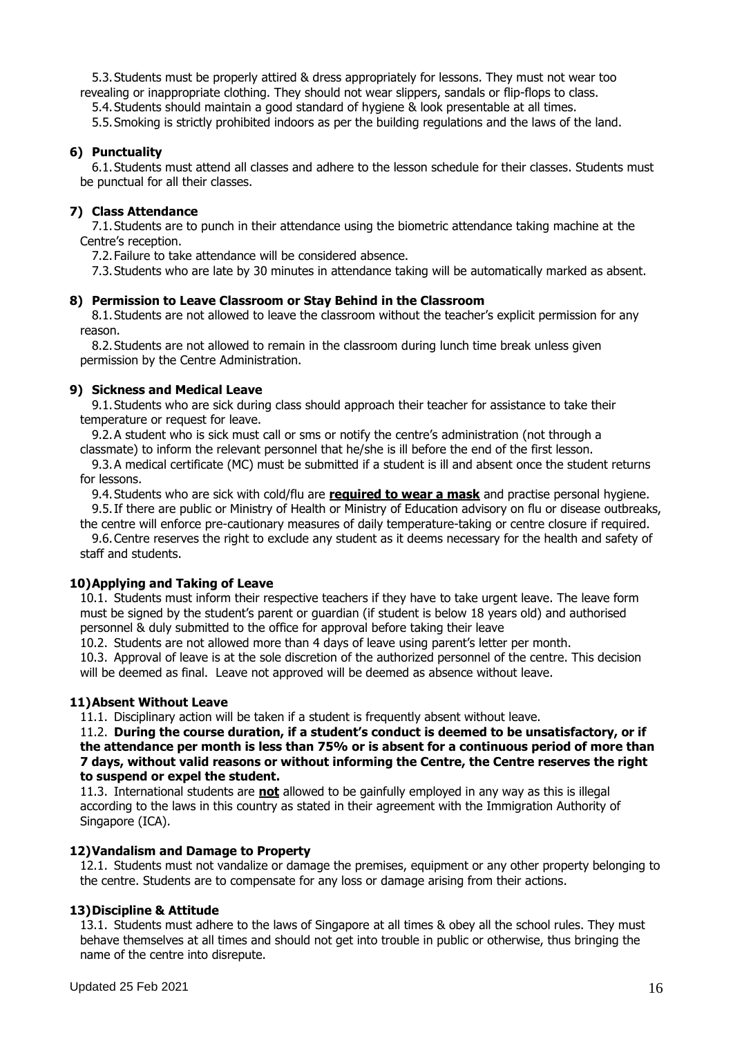5.3.Students must be properly attired & dress appropriately for lessons. They must not wear too revealing or inappropriate clothing. They should not wear slippers, sandals or flip-flops to class.

5.4.Students should maintain a good standard of hygiene & look presentable at all times.

5.5.Smoking is strictly prohibited indoors as per the building regulations and the laws of the land.

#### **6) Punctuality**

6.1.Students must attend all classes and adhere to the lesson schedule for their classes. Students must be punctual for all their classes.

#### **7) Class Attendance**

7.1.Students are to punch in their attendance using the biometric attendance taking machine at the Centre's reception.

7.2.Failure to take attendance will be considered absence.

7.3.Students who are late by 30 minutes in attendance taking will be automatically marked as absent.

#### **8) Permission to Leave Classroom or Stay Behind in the Classroom**

8.1.Students are not allowed to leave the classroom without the teacher's explicit permission for any reason.

8.2.Students are not allowed to remain in the classroom during lunch time break unless given permission by the Centre Administration.

#### **9) Sickness and Medical Leave**

9.1.Students who are sick during class should approach their teacher for assistance to take their temperature or request for leave.

9.2.A student who is sick must call or sms or notify the centre's administration (not through a classmate) to inform the relevant personnel that he/she is ill before the end of the first lesson.

9.3.A medical certificate (MC) must be submitted if a student is ill and absent once the student returns for lessons.

9.4.Students who are sick with cold/flu are **required to wear a mask** and practise personal hygiene. 9.5.If there are public or Ministry of Health or Ministry of Education advisory on flu or disease outbreaks,

the centre will enforce pre-cautionary measures of daily temperature-taking or centre closure if required. 9.6.Centre reserves the right to exclude any student as it deems necessary for the health and safety of staff and students.

#### **10)Applying and Taking of Leave**

10.1. Students must inform their respective teachers if they have to take urgent leave. The leave form must be signed by the student's parent or guardian (if student is below 18 years old) and authorised personnel & duly submitted to the office for approval before taking their leave

10.2. Students are not allowed more than 4 days of leave using parent's letter per month.

10.3. Approval of leave is at the sole discretion of the authorized personnel of the centre. This decision will be deemed as final. Leave not approved will be deemed as absence without leave.

#### **11)Absent Without Leave**

11.1. Disciplinary action will be taken if a student is frequently absent without leave.

11.2. **During the course duration, if a student's conduct is deemed to be unsatisfactory, or if the attendance per month is less than 75% or is absent for a continuous period of more than 7 days, without valid reasons or without informing the Centre, the Centre reserves the right to suspend or expel the student.**

11.3. International students are **not** allowed to be gainfully employed in any way as this is illegal according to the laws in this country as stated in their agreement with the Immigration Authority of Singapore (ICA).

#### **12)Vandalism and Damage to Property**

12.1. Students must not vandalize or damage the premises, equipment or any other property belonging to the centre. Students are to compensate for any loss or damage arising from their actions.

#### **13)Discipline & Attitude**

13.1. Students must adhere to the laws of Singapore at all times & obey all the school rules. They must behave themselves at all times and should not get into trouble in public or otherwise, thus bringing the name of the centre into disrepute.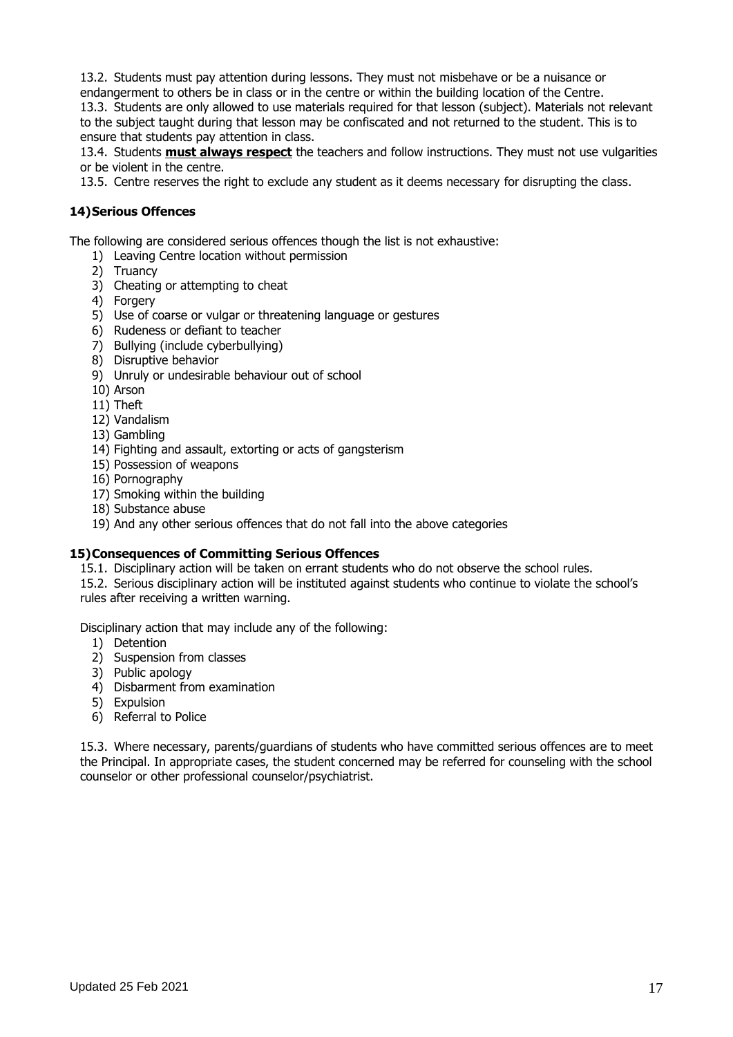13.2. Students must pay attention during lessons. They must not misbehave or be a nuisance or

endangerment to others be in class or in the centre or within the building location of the Centre. 13.3. Students are only allowed to use materials required for that lesson (subject). Materials not relevant to the subject taught during that lesson may be confiscated and not returned to the student. This is to ensure that students pay attention in class.

13.4. Students **must always respect** the teachers and follow instructions. They must not use vulgarities or be violent in the centre.

13.5. Centre reserves the right to exclude any student as it deems necessary for disrupting the class.

## **14)Serious Offences**

The following are considered serious offences though the list is not exhaustive:

- 1) Leaving Centre location without permission
- 2) Truancy
- 3) Cheating or attempting to cheat
- 4) Forgery
- 5) Use of coarse or vulgar or threatening language or gestures
- 6) Rudeness or defiant to teacher
- 7) Bullying (include cyberbullying)
- 8) Disruptive behavior
- 9) Unruly or undesirable behaviour out of school
- 10) Arson
- 11) Theft
- 12) Vandalism
- 13) Gambling
- 14) Fighting and assault, extorting or acts of gangsterism
- 15) Possession of weapons
- 16) Pornography
- 17) Smoking within the building
- 18) Substance abuse
- 19) And any other serious offences that do not fall into the above categories

#### **15)Consequences of Committing Serious Offences**

15.1. Disciplinary action will be taken on errant students who do not observe the school rules.

15.2. Serious disciplinary action will be instituted against students who continue to violate the school's rules after receiving a written warning.

Disciplinary action that may include any of the following:

- 1) Detention
- 2) Suspension from classes
- 3) Public apology
- 4) Disbarment from examination
- 5) Expulsion
- 6) Referral to Police

15.3. Where necessary, parents/guardians of students who have committed serious offences are to meet the Principal. In appropriate cases, the student concerned may be referred for counseling with the school counselor or other professional counselor/psychiatrist.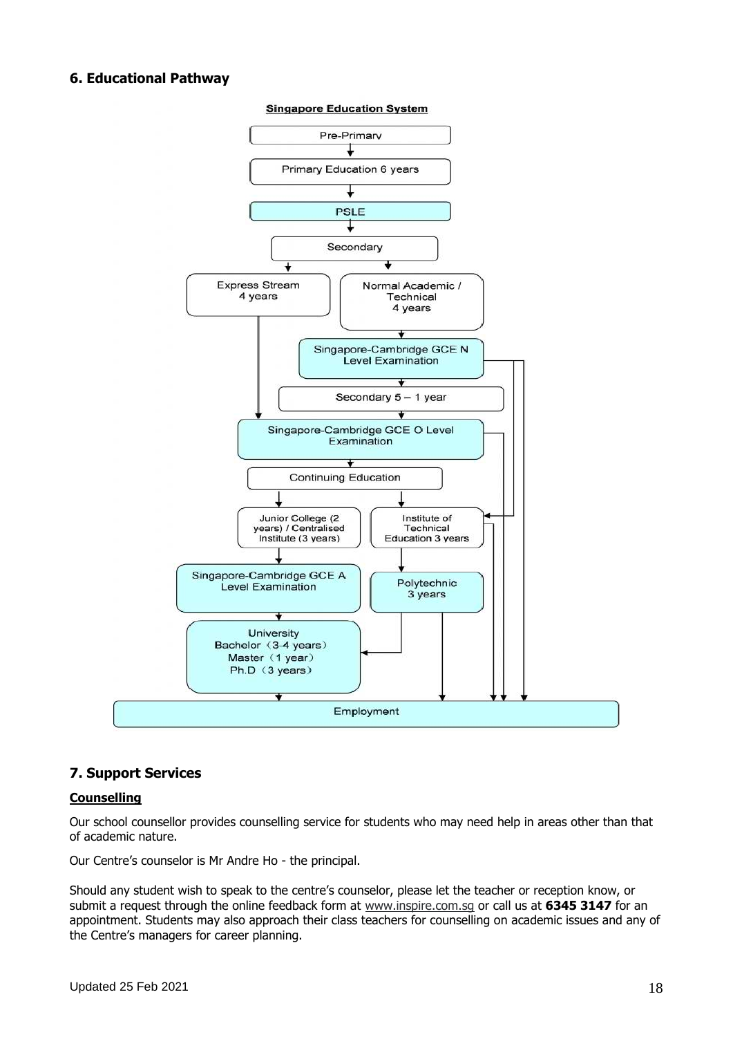#### **6. Educational Pathway**



**Singapore Education System** 

#### **7. Support Services**

#### **Counselling**

Our school counsellor provides counselling service for students who may need help in areas other than that of academic nature.

Our Centre's counselor is Mr Andre Ho - the principal.

Should any student wish to speak to the centre's counselor, please let the teacher or reception know, or submit a request through the online feedback form at [www.inspire.com.sg](http://www.inspire.com.sg/) or call us at **6345 3147** for an appointment. Students may also approach their class teachers for counselling on academic issues and any of the Centre's managers for career planning.